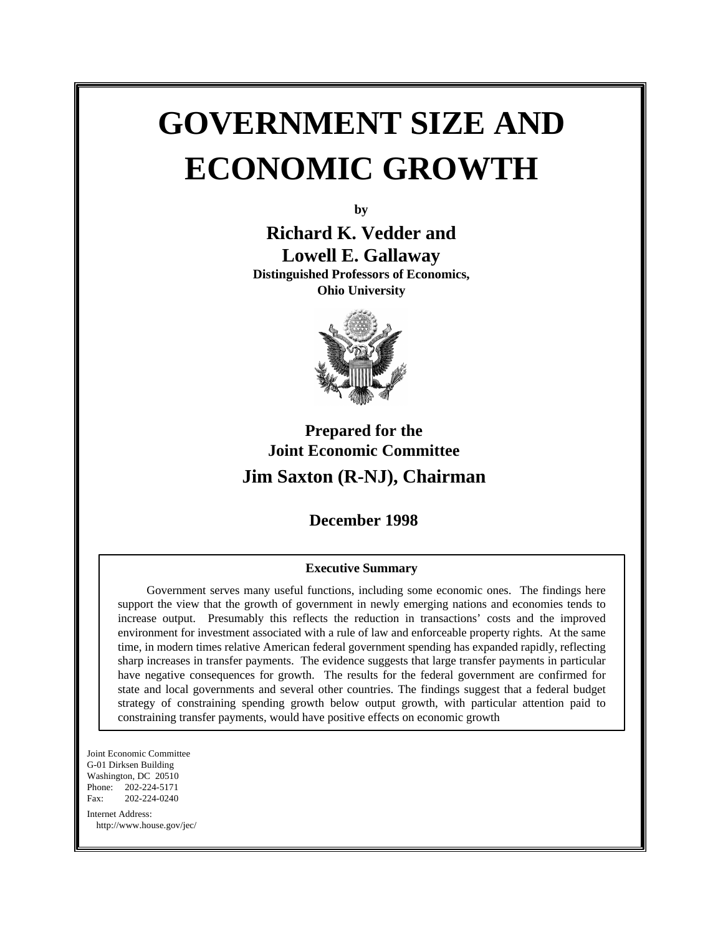# **GOVERNMENT SIZE AND ECONOMIC GROWTH**

**by**

**Richard K. Vedder and Lowell E. Gallaway Distinguished Professors of Economics,**

**Ohio University**



# **Prepared for the Joint Economic Committee Jim Saxton (R-NJ), Chairman**

## **December 1998**

#### **Executive Summary**

 Government serves many useful functions, including some economic ones. The findings here support the view that the growth of government in newly emerging nations and economies tends to increase output. Presumably this reflects the reduction in transactions' costs and the improved environment for investment associated with a rule of law and enforceable property rights. At the same time, in modern times relative American federal government spending has expanded rapidly, reflecting sharp increases in transfer payments. The evidence suggests that large transfer payments in particular have negative consequences for growth. The results for the federal government are confirmed for state and local governments and several other countries. The findings suggest that a federal budget strategy of constraining spending growth below output growth, with particular attention paid to constraining transfer payments, would have positive effects on economic growth

Joint Economic Committee G-01 Dirksen Building Washington, DC 20510 Phone: 202-224-5171 Fax: 202-224-0240 Internet Address: http://www.house.gov/jec/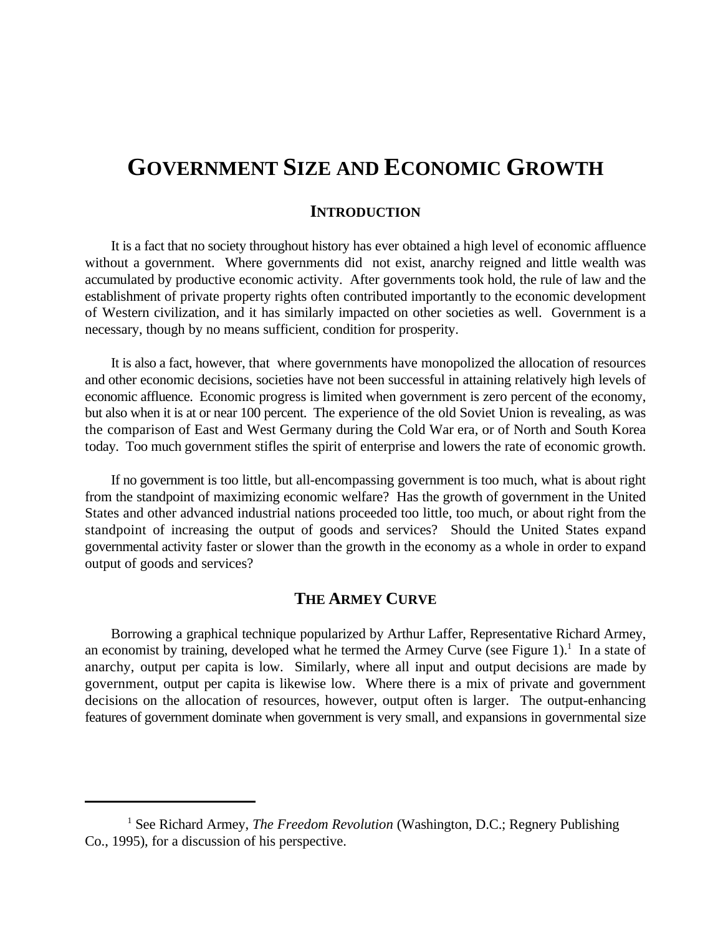# **GOVERNMENT SIZE AND ECONOMIC GROWTH**

#### **INTRODUCTION**

It is a fact that no society throughout history has ever obtained a high level of economic affluence without a government. Where governments did not exist, anarchy reigned and little wealth was accumulated by productive economic activity. After governments took hold, the rule of law and the establishment of private property rights often contributed importantly to the economic development of Western civilization, and it has similarly impacted on other societies as well. Government is a necessary, though by no means sufficient, condition for prosperity.

It is also a fact, however, that where governments have monopolized the allocation of resources and other economic decisions, societies have not been successful in attaining relatively high levels of economic affluence. Economic progress is limited when government is zero percent of the economy, but also when it is at or near 100 percent. The experience of the old Soviet Union is revealing, as was the comparison of East and West Germany during the Cold War era, or of North and South Korea today. Too much government stifles the spirit of enterprise and lowers the rate of economic growth.

If no government is too little, but all-encompassing government is too much, what is about right from the standpoint of maximizing economic welfare? Has the growth of government in the United States and other advanced industrial nations proceeded too little, too much, or about right from the standpoint of increasing the output of goods and services? Should the United States expand governmental activity faster or slower than the growth in the economy as a whole in order to expand output of goods and services?

#### **THE ARMEY CURVE**

Borrowing a graphical technique popularized by Arthur Laffer, Representative Richard Armey, an economist by training, developed what he termed the Armey Curve (see Figure 1).<sup>1</sup> In a state of anarchy, output per capita is low. Similarly, where all input and output decisions are made by government, output per capita is likewise low. Where there is a mix of private and government decisions on the allocation of resources, however, output often is larger. The output-enhancing features of government dominate when government is very small, and expansions in governmental size

<sup>&</sup>lt;sup>1</sup> See Richard Armey, *The Freedom Revolution* (Washington, D.C.; Regnery Publishing Co., 1995), for a discussion of his perspective.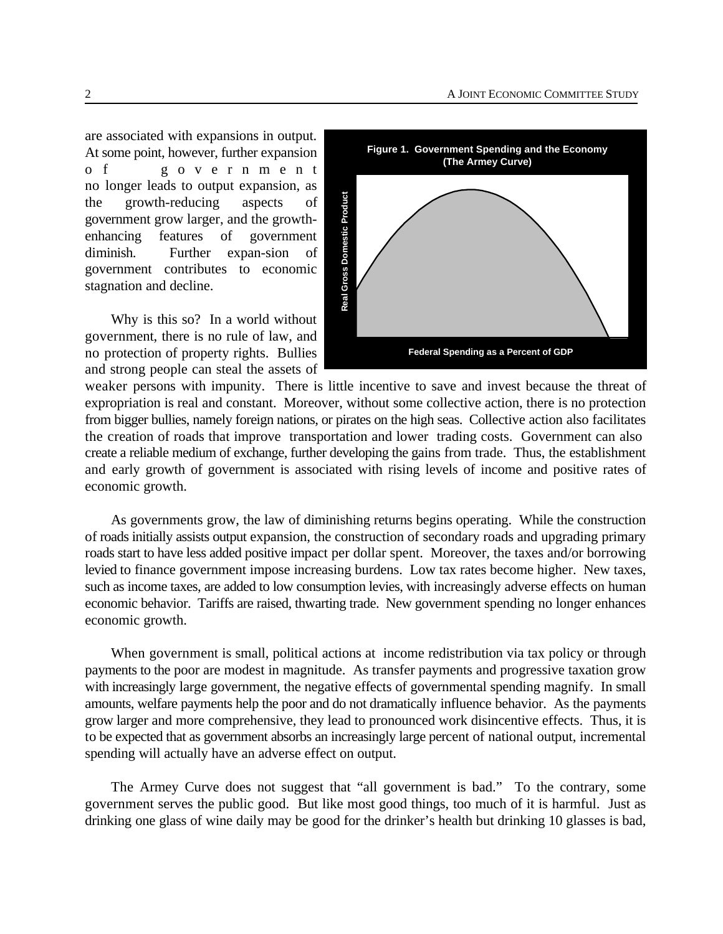are associated with expansions in output. At some point, however, further expansion o f governmen t no longer leads to output expansion, as the growth-reducing aspects of government grow larger, and the growthenhancing features of government diminish. Further expan-sion of government contributes to economic stagnation and decline.

Why is this so? In a world without government, there is no rule of law, and no protection of property rights. Bullies and strong people can steal the assets of



weaker persons with impunity. There is little incentive to save and invest because the threat of expropriation is real and constant. Moreover, without some collective action, there is no protection from bigger bullies, namely foreign nations, or pirates on the high seas. Collective action also facilitates the creation of roads that improve transportation and lower trading costs. Government can also create a reliable medium of exchange, further developing the gains from trade. Thus, the establishment and early growth of government is associated with rising levels of income and positive rates of economic growth.

As governments grow, the law of diminishing returns begins operating. While the construction of roads initially assists output expansion, the construction of secondary roads and upgrading primary roads start to have less added positive impact per dollar spent. Moreover, the taxes and/or borrowing levied to finance government impose increasing burdens. Low tax rates become higher. New taxes, such as income taxes, are added to low consumption levies, with increasingly adverse effects on human economic behavior. Tariffs are raised, thwarting trade. New government spending no longer enhances economic growth.

When government is small, political actions at income redistribution via tax policy or through payments to the poor are modest in magnitude. As transfer payments and progressive taxation grow with increasingly large government, the negative effects of governmental spending magnify. In small amounts, welfare payments help the poor and do not dramatically influence behavior. As the payments grow larger and more comprehensive, they lead to pronounced work disincentive effects. Thus, it is to be expected that as government absorbs an increasingly large percent of national output, incremental spending will actually have an adverse effect on output.

The Armey Curve does not suggest that "all government is bad." To the contrary, some government serves the public good. But like most good things, too much of it is harmful. Just as drinking one glass of wine daily may be good for the drinker's health but drinking 10 glasses is bad,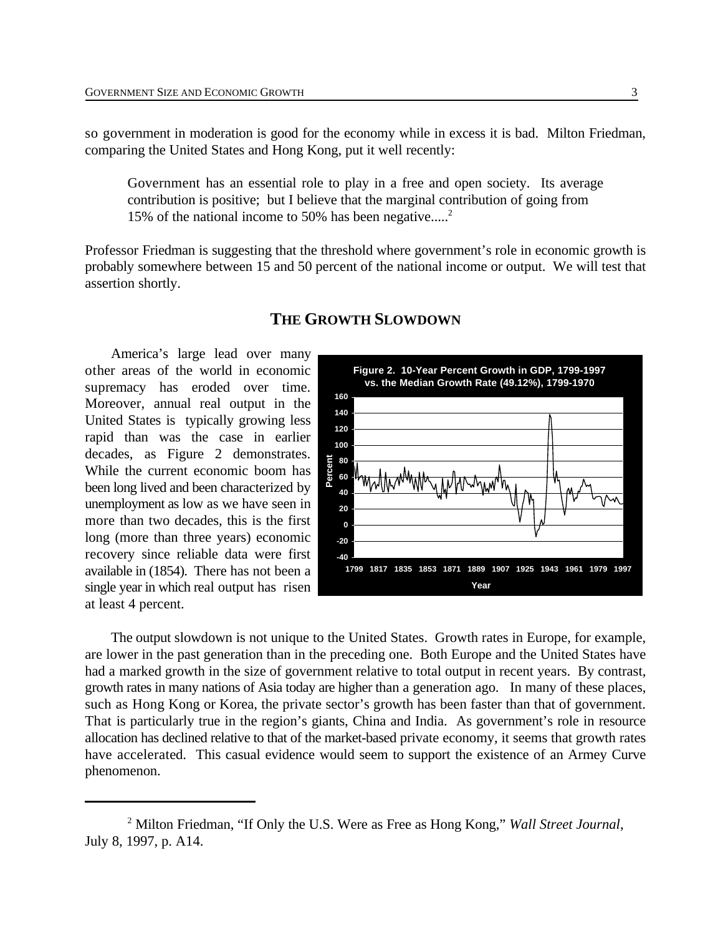so government in moderation is good for the economy while in excess it is bad. Milton Friedman, comparing the United States and Hong Kong, put it well recently:

Government has an essential role to play in a free and open society. Its average contribution is positive; but I believe that the marginal contribution of going from 15% of the national income to 50% has been negative.....<sup>2</sup>

Professor Friedman is suggesting that the threshold where government's role in economic growth is probably somewhere between 15 and 50 percent of the national income or output. We will test that assertion shortly.

America's large lead over many other areas of the world in economic supremacy has eroded over time. Moreover, annual real output in the United States is typically growing less rapid than was the case in earlier decades, as Figure 2 demonstrates. While the current economic boom has been long lived and been characterized by unemployment as low as we have seen in more than two decades, this is the first long (more than three years) economic recovery since reliable data were first available in (1854). There has not been a single year in which real output has risen at least 4 percent.



#### The output slowdown is not unique to the United States. Growth rates in Europe, for example, are lower in the past generation than in the preceding one. Both Europe and the United States have had a marked growth in the size of government relative to total output in recent years. By contrast, growth rates in many nations of Asia today are higher than a generation ago. In many of these places, such as Hong Kong or Korea, the private sector's growth has been faster than that of government. That is particularly true in the region's giants, China and India. As government's role in resource allocation has declined relative to that of the market-based private economy, it seems that growth rates have accelerated. This casual evidence would seem to support the existence of an Armey Curve phenomenon.

#### **THE GROWTH SLOWDOWN**

<sup>&</sup>lt;sup>2</sup> Milton Friedman, "If Only the U.S. Were as Free as Hong Kong," *Wall Street Journal*, July 8, 1997, p. A14.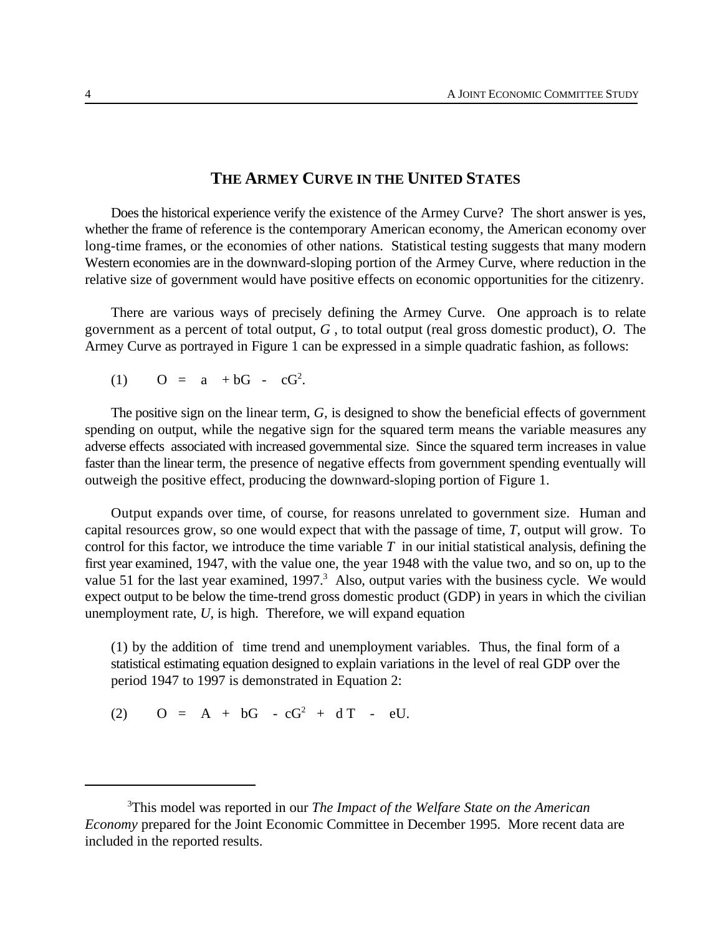#### **THE ARMEY CURVE IN THE UNITED STATES**

Does the historical experience verify the existence of the Armey Curve? The short answer is yes, whether the frame of reference is the contemporary American economy, the American economy over long-time frames, or the economies of other nations. Statistical testing suggests that many modern Western economies are in the downward-sloping portion of the Armey Curve, where reduction in the relative size of government would have positive effects on economic opportunities for the citizenry.

There are various ways of precisely defining the Armey Curve. One approach is to relate government as a percent of total output, *G* , to total output (real gross domestic product), *O*. The Armey Curve as portrayed in Figure 1 can be expressed in a simple quadratic fashion, as follows:

(1) 
$$
O = a + bG - cG^2
$$
.

The positive sign on the linear term, *G,* is designed to show the beneficial effects of government spending on output, while the negative sign for the squared term means the variable measures any adverse effects associated with increased governmental size. Since the squared term increases in value faster than the linear term, the presence of negative effects from government spending eventually will outweigh the positive effect, producing the downward-sloping portion of Figure 1.

Output expands over time, of course, for reasons unrelated to government size. Human and capital resources grow, so one would expect that with the passage of time, *T*, output will grow. To control for this factor, we introduce the time variable *T* in our initial statistical analysis, defining the first year examined, 1947, with the value one, the year 1948 with the value two, and so on, up to the value 51 for the last year examined,  $1997<sup>3</sup>$  Also, output varies with the business cycle. We would expect output to be below the time-trend gross domestic product (GDP) in years in which the civilian unemployment rate, *U*, is high. Therefore, we will expand equation

(1) by the addition of time trend and unemployment variables. Thus, the final form of a statistical estimating equation designed to explain variations in the level of real GDP over the period 1947 to 1997 is demonstrated in Equation 2:

(2)  $Q = A + bG - cG^2 + dT - eU$ .

This model was reported in our *The Impact of the Welfare State on the American* <sup>3</sup> *Economy* prepared for the Joint Economic Committee in December 1995. More recent data are included in the reported results.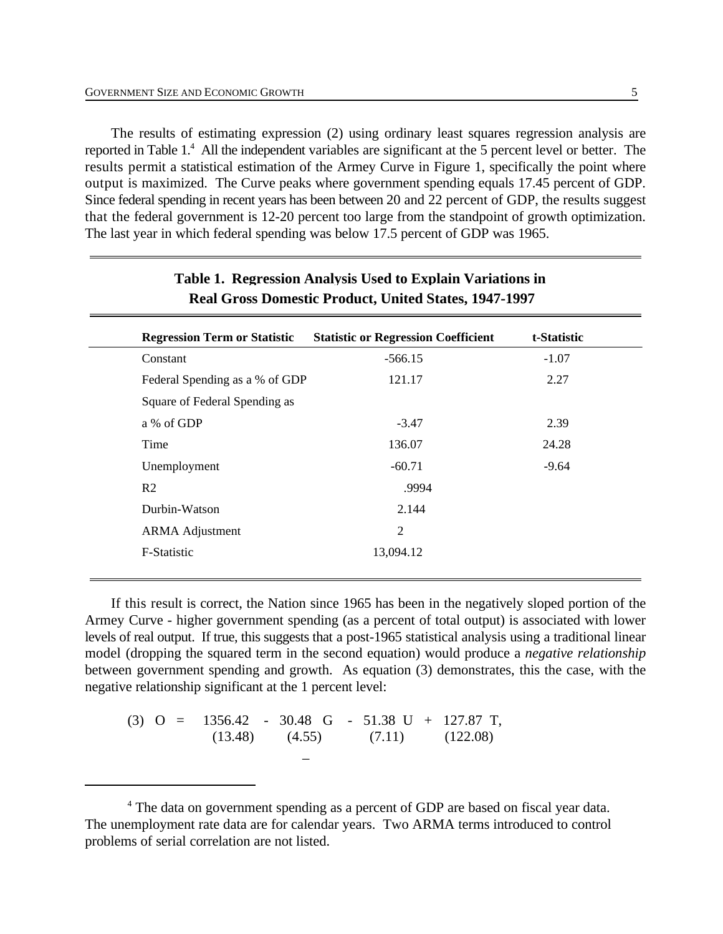The results of estimating expression (2) using ordinary least squares regression analysis are reported in Table 1.<sup>4</sup> All the independent variables are significant at the 5 percent level or better. The results permit a statistical estimation of the Armey Curve in Figure 1, specifically the point where output is maximized. The Curve peaks where government spending equals 17.45 percent of GDP. Since federal spending in recent years has been between 20 and 22 percent of GDP, the results suggest that the federal government is 12-20 percent too large from the standpoint of growth optimization. The last year in which federal spending was below 17.5 percent of GDP was 1965.

| <b>Regression Term or Statistic</b> | <b>Statistic or Regression Coefficient</b> | t-Statistic |
|-------------------------------------|--------------------------------------------|-------------|
| Constant                            | $-566.15$                                  | $-1.07$     |
| Federal Spending as a % of GDP      | 121.17                                     | 2.27        |
| Square of Federal Spending as       |                                            |             |
| a % of GDP                          | $-3.47$                                    | 2.39        |
| Time                                | 136.07                                     | 24.28       |
| Unemployment                        | $-60.71$                                   | $-9.64$     |
| R <sub>2</sub>                      | .9994                                      |             |
| Durbin-Watson                       | 2.144                                      |             |
| <b>ARMA</b> Adjustment              | $\overline{2}$                             |             |
| F-Statistic                         | 13,094.12                                  |             |

#### **Table 1. Regression Analysis Used to Explain Variations in Real Gross Domestic Product, United States, 1947-1997**

If this result is correct, the Nation since 1965 has been in the negatively sloped portion of the Armey Curve - higher government spending (as a percent of total output) is associated with lower levels of real output. If true, this suggests that a post-1965 statistical analysis using a traditional linear model (dropping the squared term in the second equation) would produce a *negative relationship* between government spending and growth. As equation (3) demonstrates, this the case, with the negative relationship significant at the 1 percent level:

(3) O = 1356.42 - 30.48 G - 51.38 U + 127.87 T,  $(13.48)$   $(4.55)$   $(7.11)$   $(122.08)$ \_

<sup>&</sup>lt;sup>4</sup> The data on government spending as a percent of GDP are based on fiscal year data. The unemployment rate data are for calendar years. Two ARMA terms introduced to control problems of serial correlation are not listed.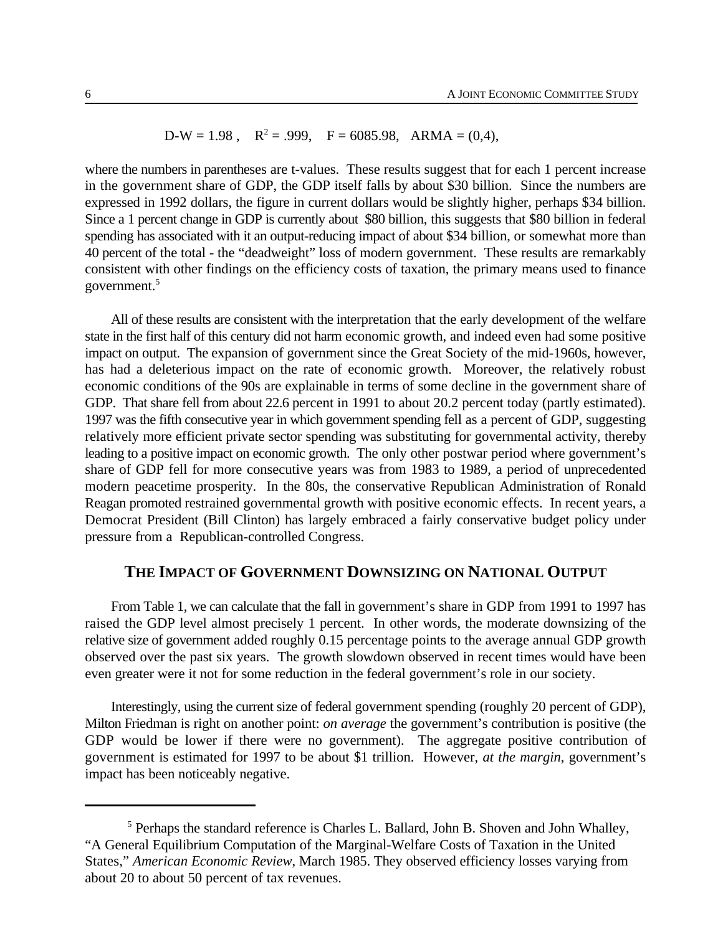$$
D-W = 1.98 \, , \quad R^2 = .999, \quad F = 6085.98, \quad ARMA = (0,4),
$$

where the numbers in parentheses are t-values. These results suggest that for each 1 percent increase in the government share of GDP, the GDP itself falls by about \$30 billion. Since the numbers are expressed in 1992 dollars, the figure in current dollars would be slightly higher, perhaps \$34 billion. Since a 1 percent change in GDP is currently about \$80 billion, this suggests that \$80 billion in federal spending has associated with it an output-reducing impact of about \$34 billion, or somewhat more than 40 percent of the total - the "deadweight" loss of modern government. These results are remarkably consistent with other findings on the efficiency costs of taxation, the primary means used to finance government.<sup>5</sup>

All of these results are consistent with the interpretation that the early development of the welfare state in the first half of this century did not harm economic growth, and indeed even had some positive impact on output. The expansion of government since the Great Society of the mid-1960s, however, has had a deleterious impact on the rate of economic growth. Moreover, the relatively robust economic conditions of the 90s are explainable in terms of some decline in the government share of GDP. That share fell from about 22.6 percent in 1991 to about 20.2 percent today (partly estimated). 1997 was the fifth consecutive year in which government spending fell as a percent of GDP, suggesting relatively more efficient private sector spending was substituting for governmental activity, thereby leading to a positive impact on economic growth. The only other postwar period where government's share of GDP fell for more consecutive years was from 1983 to 1989, a period of unprecedented modern peacetime prosperity. In the 80s, the conservative Republican Administration of Ronald Reagan promoted restrained governmental growth with positive economic effects. In recent years, a Democrat President (Bill Clinton) has largely embraced a fairly conservative budget policy under pressure from a Republican-controlled Congress.

#### **THE IMPACT OF GOVERNMENT DOWNSIZING ON NATIONAL OUTPUT**

From Table 1, we can calculate that the fall in government's share in GDP from 1991 to 1997 has raised the GDP level almost precisely 1 percent. In other words, the moderate downsizing of the relative size of government added roughly 0.15 percentage points to the average annual GDP growth observed over the past six years. The growth slowdown observed in recent times would have been even greater were it not for some reduction in the federal government's role in our society.

Interestingly, using the current size of federal government spending (roughly 20 percent of GDP), Milton Friedman is right on another point: *on average* the government's contribution is positive (the GDP would be lower if there were no government). The aggregate positive contribution of government is estimated for 1997 to be about \$1 trillion. However, *at the margin*, government's impact has been noticeably negative.

 $5$  Perhaps the standard reference is Charles L. Ballard, John B. Shoven and John Whalley, "A General Equilibrium Computation of the Marginal-Welfare Costs of Taxation in the United States," *American Economic Review*, March 1985. They observed efficiency losses varying from about 20 to about 50 percent of tax revenues.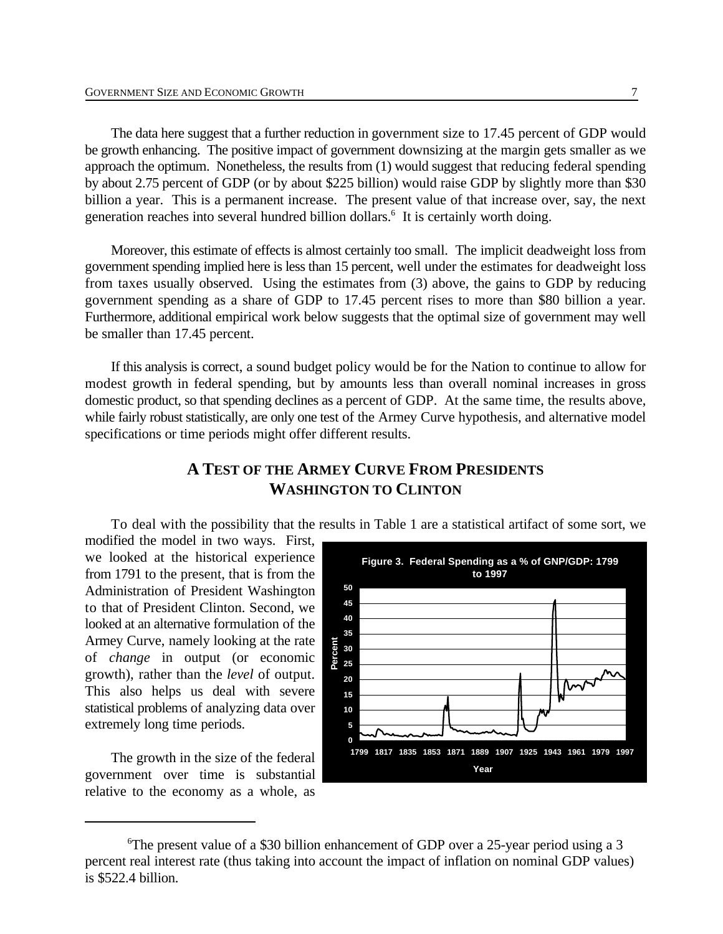The data here suggest that a further reduction in government size to 17.45 percent of GDP would be growth enhancing. The positive impact of government downsizing at the margin gets smaller as we approach the optimum. Nonetheless, the results from (1) would suggest that reducing federal spending by about 2.75 percent of GDP (or by about \$225 billion) would raise GDP by slightly more than \$30 billion a year. This is a permanent increase. The present value of that increase over, say, the next generation reaches into several hundred billion dollars.<sup>6</sup> It is certainly worth doing.

Moreover, this estimate of effects is almost certainly too small. The implicit deadweight loss from government spending implied here is less than 15 percent, well under the estimates for deadweight loss from taxes usually observed. Using the estimates from (3) above, the gains to GDP by reducing government spending as a share of GDP to 17.45 percent rises to more than \$80 billion a year. Furthermore, additional empirical work below suggests that the optimal size of government may well be smaller than 17.45 percent.

If this analysis is correct, a sound budget policy would be for the Nation to continue to allow for modest growth in federal spending, but by amounts less than overall nominal increases in gross domestic product, so that spending declines as a percent of GDP. At the same time, the results above, while fairly robust statistically, are only one test of the Armey Curve hypothesis, and alternative model specifications or time periods might offer different results.

### **A TEST OF THE ARMEY CURVE FROM PRESIDENTS WASHINGTON TO CLINTON**

To deal with the possibility that the results in Table 1 are a statistical artifact of some sort, we

modified the model in two ways. First, we looked at the historical experience from 1791 to the present, that is from the Administration of President Washington to that of President Clinton. Second, we looked at an alternative formulation of the Armey Curve, namely looking at the rate of *change* in output (or economic growth), rather than the *level* of output. This also helps us deal with severe statistical problems of analyzing data over extremely long time periods.

The growth in the size of the federal government over time is substantial relative to the economy as a whole, as



<sup>&</sup>lt;sup>6</sup>The present value of a \$30 billion enhancement of GDP over a 25-year period using a 3 percent real interest rate (thus taking into account the impact of inflation on nominal GDP values) is \$522.4 billion.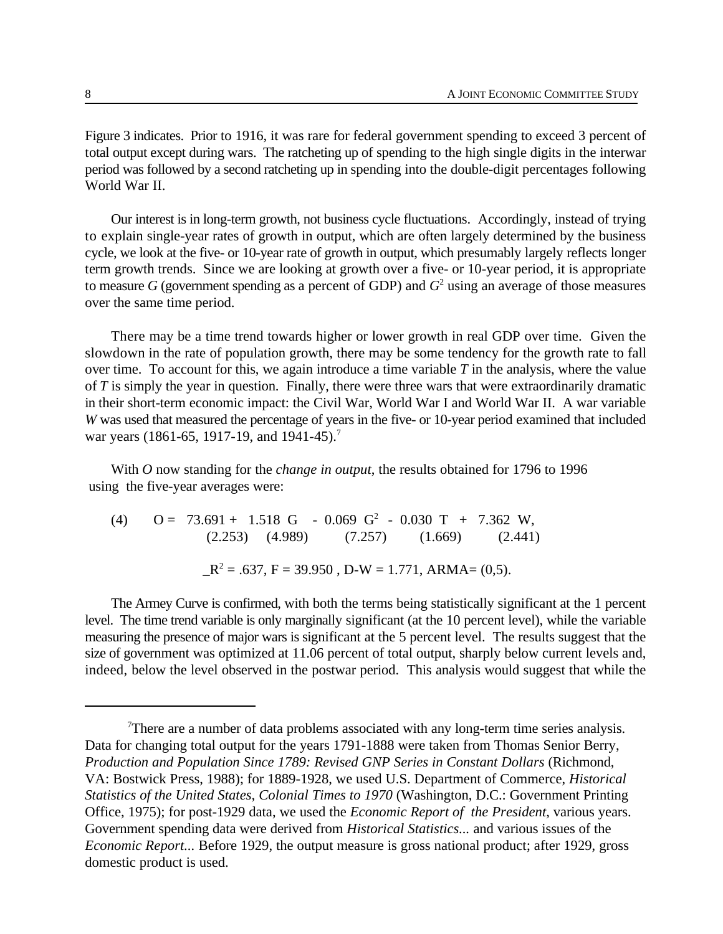Figure 3 indicates. Prior to 1916, it was rare for federal government spending to exceed 3 percent of total output except during wars. The ratcheting up of spending to the high single digits in the interwar period was followed by a second ratcheting up in spending into the double-digit percentages following World War II.

Our interest is in long-term growth, not business cycle fluctuations. Accordingly, instead of trying to explain single-year rates of growth in output, which are often largely determined by the business cycle, we look at the five- or 10-year rate of growth in output, which presumably largely reflects longer term growth trends. Since we are looking at growth over a five- or 10-year period, it is appropriate to measure *G* (government spending as a percent of GDP) and  $G<sup>2</sup>$  using an average of those measures over the same time period.

There may be a time trend towards higher or lower growth in real GDP over time. Given the slowdown in the rate of population growth, there may be some tendency for the growth rate to fall over time. To account for this, we again introduce a time variable *T* in the analysis, where the value of *T* is simply the year in question. Finally, there were three wars that were extraordinarily dramatic in their short-term economic impact: the Civil War, World War I and World War II. A war variable *W* was used that measured the percentage of years in the five- or 10-year period examined that included war years (1861-65, 1917-19, and 1941-45).<sup>7</sup>

With *O* now standing for the *change in output*, the results obtained for 1796 to 1996 using the five-year averages were:

(4)  $Q = 73.691 + 1.518 \text{ G} - 0.069 \text{ G}^2 - 0.030 \text{ T} + 7.362 \text{ W}$  $(2.253)$   $(4.989)$   $(7.257)$   $(1.669)$   $(2.441)$  $R^2 = .637$ , F = 39.950, D-W = 1.771, ARMA= (0,5).

The Armey Curve is confirmed, with both the terms being statistically significant at the 1 percent level. The time trend variable is only marginally significant (at the 10 percent level), while the variable measuring the presence of major wars is significant at the 5 percent level. The results suggest that the size of government was optimized at 11.06 percent of total output, sharply below current levels and, indeed, below the level observed in the postwar period. This analysis would suggest that while the

There are a number of data problems associated with any long-term time series analysis. Data for changing total output for the years 1791-1888 were taken from Thomas Senior Berry, *Production and Population Since 1789: Revised GNP Series in Constant Dollars* (Richmond, VA: Bostwick Press, 1988); for 1889-1928, we used U.S. Department of Commerce, *Historical Statistics of the United States, Colonial Times to 1970* (Washington, D.C.: Government Printing Office, 1975); for post-1929 data, we used the *Economic Report of the President*, various years. Government spending data were derived from *Historical Statistics...* and various issues of the *Economic Report...* Before 1929, the output measure is gross national product; after 1929, gross domestic product is used.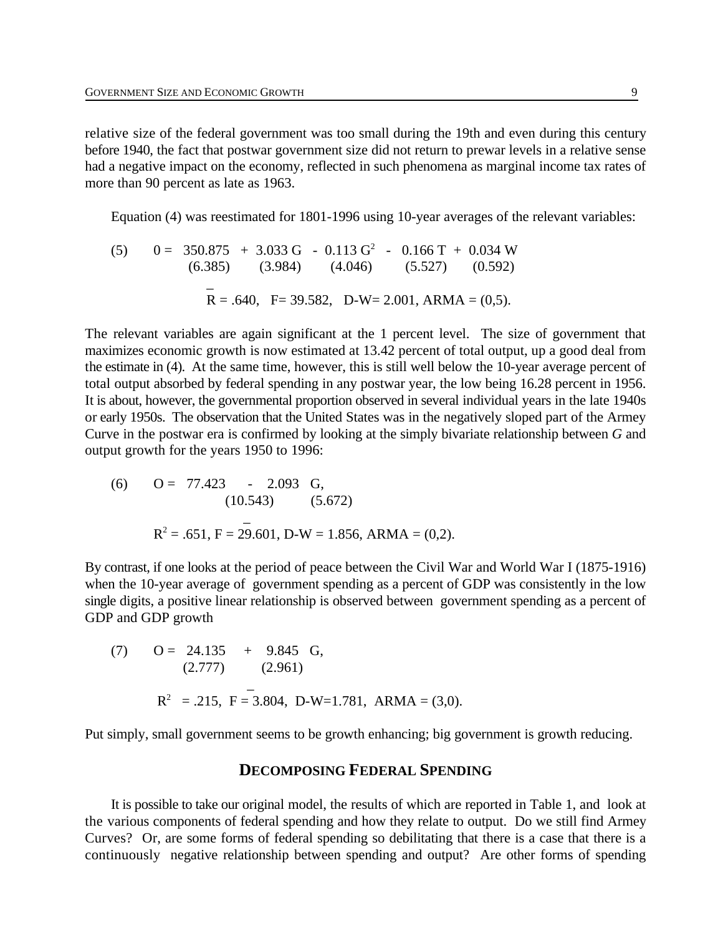relative size of the federal government was too small during the 19th and even during this century before 1940, the fact that postwar government size did not return to prewar levels in a relative sense had a negative impact on the economy, reflected in such phenomena as marginal income tax rates of more than 90 percent as late as 1963.

Equation (4) was reestimated for 1801-1996 using 10-year averages of the relevant variables:

(5) 
$$
0 = 350.875 + 3.033 \text{ G} - 0.113 \text{ G}^2 - 0.166 \text{ T} + 0.034 \text{ W}
$$
  
\n(6.385) (3.984) (4.046) (5.527) (0.592)  
\n $\bar{R} = .640, \text{ F} = 39.582, \text{ D-W} = 2.001, \text{ARMA} = (0,5).$ 

The relevant variables are again significant at the 1 percent level. The size of government that maximizes economic growth is now estimated at 13.42 percent of total output, up a good deal from the estimate in (4). At the same time, however, this is still well below the 10-year average percent of total output absorbed by federal spending in any postwar year, the low being 16.28 percent in 1956. It is about, however, the governmental proportion observed in several individual years in the late 1940s or early 1950s. The observation that the United States was in the negatively sloped part of the Armey Curve in the postwar era is confirmed by looking at the simply bivariate relationship between *G* and output growth for the years 1950 to 1996:

(6) 
$$
O = 77.423 - 2.093
$$
 G,  
\n(10.543) (5.672)  
\n $R^2 = .651, F = 29.601, D-W = 1.856, ARMA = (0,2).$ 

By contrast, if one looks at the period of peace between the Civil War and World War I (1875-1916) when the 10-year average of government spending as a percent of GDP was consistently in the low single digits, a positive linear relationship is observed between government spending as a percent of GDP and GDP growth

(7) 
$$
O = 24.135 + 9.845 \text{ G},
$$
  
\n(2.777) (2.961)  
\n $R^2 = .215, F = 3.804, D-W=1.781, ARMA = (3,0).$ 

Put simply, small government seems to be growth enhancing; big government is growth reducing.

#### **DECOMPOSING FEDERAL SPENDING**

It is possible to take our original model, the results of which are reported in Table 1, and look at the various components of federal spending and how they relate to output. Do we still find Armey Curves? Or, are some forms of federal spending so debilitating that there is a case that there is a continuously negative relationship between spending and output? Are other forms of spending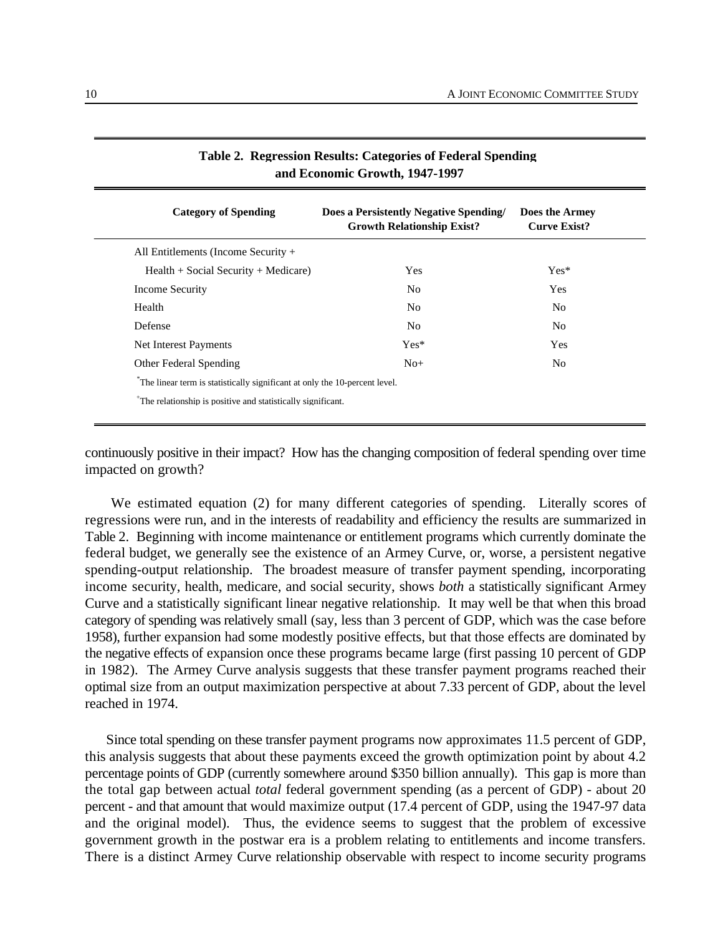| <b>Category of Spending</b>                                                | Does a Persistently Negative Spending/<br><b>Growth Relationship Exist?</b> | Does the Armey<br><b>Curve Exist?</b> |  |
|----------------------------------------------------------------------------|-----------------------------------------------------------------------------|---------------------------------------|--|
| All Entitlements (Income Security $+$                                      |                                                                             |                                       |  |
| $Health + Social Security + Medicine)$                                     | Yes                                                                         | $Yes*$                                |  |
| Income Security                                                            | No.                                                                         | <b>Yes</b>                            |  |
| Health                                                                     | N <sub>0</sub>                                                              | No.                                   |  |
| Defense                                                                    | N <sub>0</sub>                                                              | No.                                   |  |
| Net Interest Payments                                                      | $Yes*$                                                                      | Yes                                   |  |
| <b>Other Federal Spending</b>                                              | $No+$                                                                       | N <sub>0</sub>                        |  |
| The linear term is statistically significant at only the 10-percent level. |                                                                             |                                       |  |
| <sup>+</sup> The relationship is positive and statistically significant.   |                                                                             |                                       |  |

| Table 2. Regression Results: Categories of Federal Spending |
|-------------------------------------------------------------|
| and Economic Growth, 1947-1997                              |

continuously positive in their impact? How has the changing composition of federal spending over time impacted on growth?

We estimated equation (2) for many different categories of spending. Literally scores of regressions were run, and in the interests of readability and efficiency the results are summarized in Table 2. Beginning with income maintenance or entitlement programs which currently dominate the federal budget, we generally see the existence of an Armey Curve, or, worse, a persistent negative spending-output relationship. The broadest measure of transfer payment spending, incorporating income security, health, medicare, and social security, shows *both* a statistically significant Armey Curve and a statistically significant linear negative relationship. It may well be that when this broad category of spending was relatively small (say, less than 3 percent of GDP, which was the case before 1958), further expansion had some modestly positive effects, but that those effects are dominated by the negative effects of expansion once these programs became large (first passing 10 percent of GDP in 1982). The Armey Curve analysis suggests that these transfer payment programs reached their optimal size from an output maximization perspective at about 7.33 percent of GDP, about the level reached in 1974.

Since total spending on these transfer payment programs now approximates 11.5 percent of GDP, this analysis suggests that about these payments exceed the growth optimization point by about 4.2 percentage points of GDP (currently somewhere around \$350 billion annually). This gap is more than the total gap between actual *total* federal government spending (as a percent of GDP) - about 20 percent - and that amount that would maximize output (17.4 percent of GDP, using the 1947-97 data and the original model). Thus, the evidence seems to suggest that the problem of excessive government growth in the postwar era is a problem relating to entitlements and income transfers. There is a distinct Armey Curve relationship observable with respect to income security programs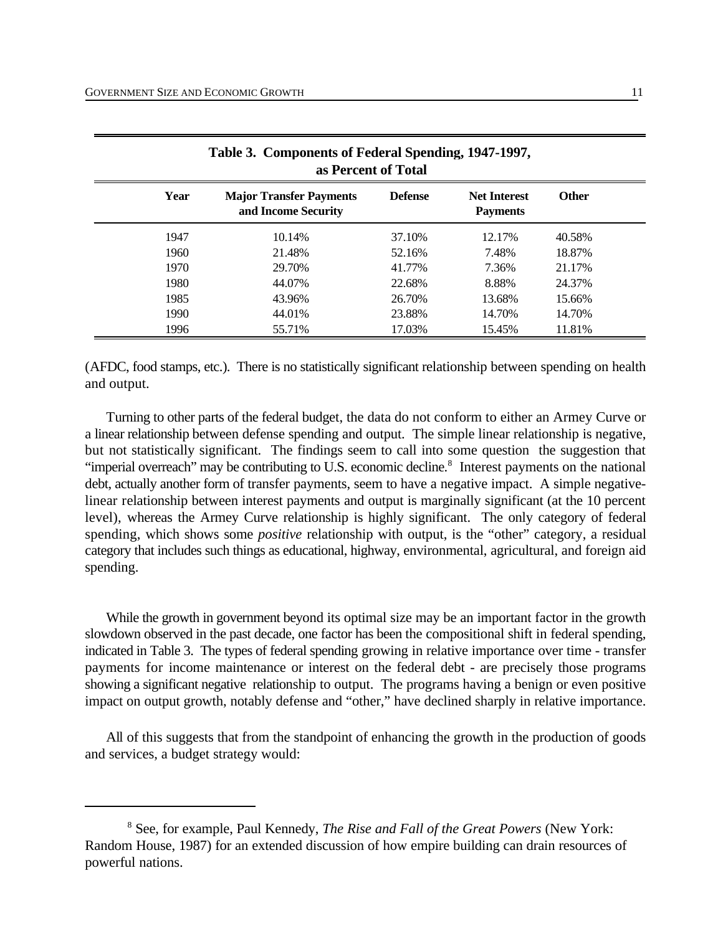| Table 3. Components of Federal Spending, 1947-1997,<br>as Percent of Total |      |                                                       |                |                                        |              |
|----------------------------------------------------------------------------|------|-------------------------------------------------------|----------------|----------------------------------------|--------------|
|                                                                            | Year | <b>Major Transfer Payments</b><br>and Income Security | <b>Defense</b> | <b>Net Interest</b><br><b>Payments</b> | <b>Other</b> |
|                                                                            | 1947 | 10.14%                                                | 37.10%         | 12.17%                                 | 40.58%       |
|                                                                            | 1960 | 21.48%                                                | 52.16%         | 7.48%                                  | 18.87%       |
|                                                                            | 1970 | 29.70%                                                | 41.77%         | 7.36%                                  | 21.17%       |
|                                                                            | 1980 | 44.07%                                                | 22.68%         | 8.88%                                  | 24.37%       |
|                                                                            | 1985 | 43.96%                                                | 26.70%         | 13.68%                                 | 15.66%       |
|                                                                            | 1990 | 44.01%                                                | 23.88%         | 14.70%                                 | 14.70%       |
|                                                                            | 1996 | 55.71%                                                | 17.03%         | 15.45%                                 | 11.81%       |

(AFDC, food stamps, etc.). There is no statistically significant relationship between spending on health and output.

Turning to other parts of the federal budget, the data do not conform to either an Armey Curve or a linear relationship between defense spending and output. The simple linear relationship is negative, but not statistically significant. The findings seem to call into some question the suggestion that "imperial overreach" may be contributing to U.S. economic decline.<sup>8</sup> Interest payments on the national debt, actually another form of transfer payments, seem to have a negative impact. A simple negativelinear relationship between interest payments and output is marginally significant (at the 10 percent level), whereas the Armey Curve relationship is highly significant. The only category of federal spending, which shows some *positive* relationship with output, is the "other" category, a residual category that includes such things as educational, highway, environmental, agricultural, and foreign aid spending.

While the growth in government beyond its optimal size may be an important factor in the growth slowdown observed in the past decade, one factor has been the compositional shift in federal spending, indicated in Table 3. The types of federal spending growing in relative importance over time - transfer payments for income maintenance or interest on the federal debt - are precisely those programs showing a significant negative relationship to output. The programs having a benign or even positive impact on output growth, notably defense and "other," have declined sharply in relative importance.

All of this suggests that from the standpoint of enhancing the growth in the production of goods and services, a budget strategy would:

See, for example, Paul Kennedy, *The Rise and Fall of the Great Powers* (New York: <sup>8</sup> Random House, 1987) for an extended discussion of how empire building can drain resources of powerful nations.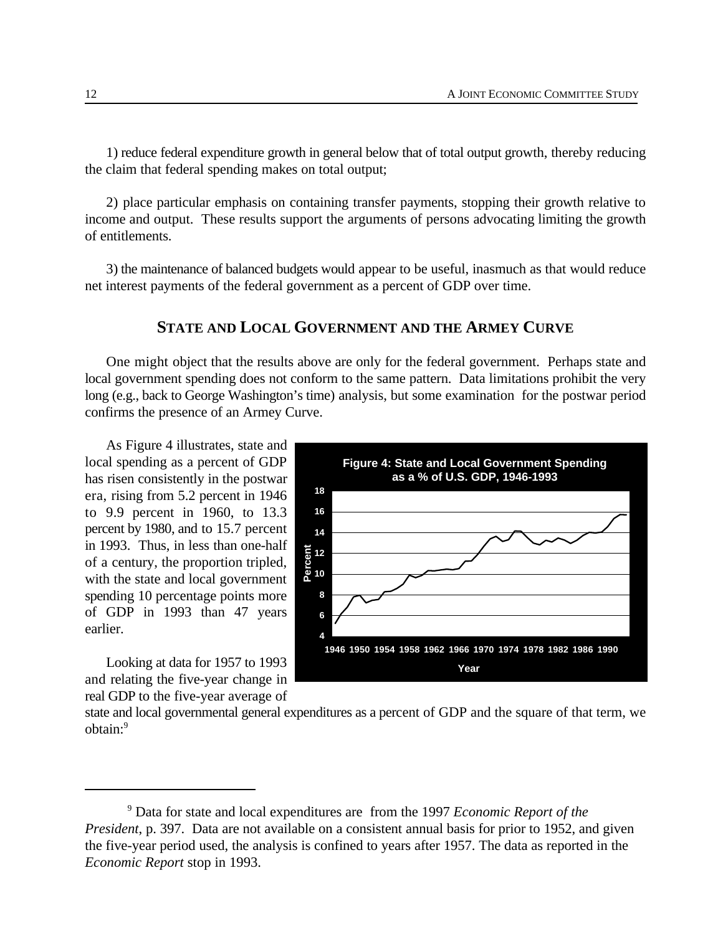1) reduce federal expenditure growth in general below that of total output growth, thereby reducing the claim that federal spending makes on total output;

2) place particular emphasis on containing transfer payments, stopping their growth relative to income and output. These results support the arguments of persons advocating limiting the growth of entitlements.

3) the maintenance of balanced budgets would appear to be useful, inasmuch as that would reduce net interest payments of the federal government as a percent of GDP over time.

#### **STATE AND LOCAL GOVERNMENT AND THE ARMEY CURVE**

One might object that the results above are only for the federal government. Perhaps state and local government spending does not conform to the same pattern. Data limitations prohibit the very long (e.g., back to George Washington's time) analysis, but some examination for the postwar period confirms the presence of an Armey Curve.

As Figure 4 illustrates, state and local spending as a percent of GDP has risen consistently in the postwar era, rising from 5.2 percent in 1946 to 9.9 percent in 1960, to 13.3 percent by 1980, and to 15.7 percent in 1993. Thus, in less than one-half of a century, the proportion tripled, with the state and local government spending 10 percentage points more of GDP in 1993 than 47 years earlier.

Looking at data for 1957 to 1993 and relating the five-year change in real GDP to the five-year average of



state and local governmental general expenditures as a percent of GDP and the square of that term, we obtain:9

<sup>&</sup>lt;sup>9</sup> Data for state and local expenditures are from the 1997 *Economic Report of the President*, p. 397. Data are not available on a consistent annual basis for prior to 1952, and given the five-year period used, the analysis is confined to years after 1957. The data as reported in the *Economic Report* stop in 1993.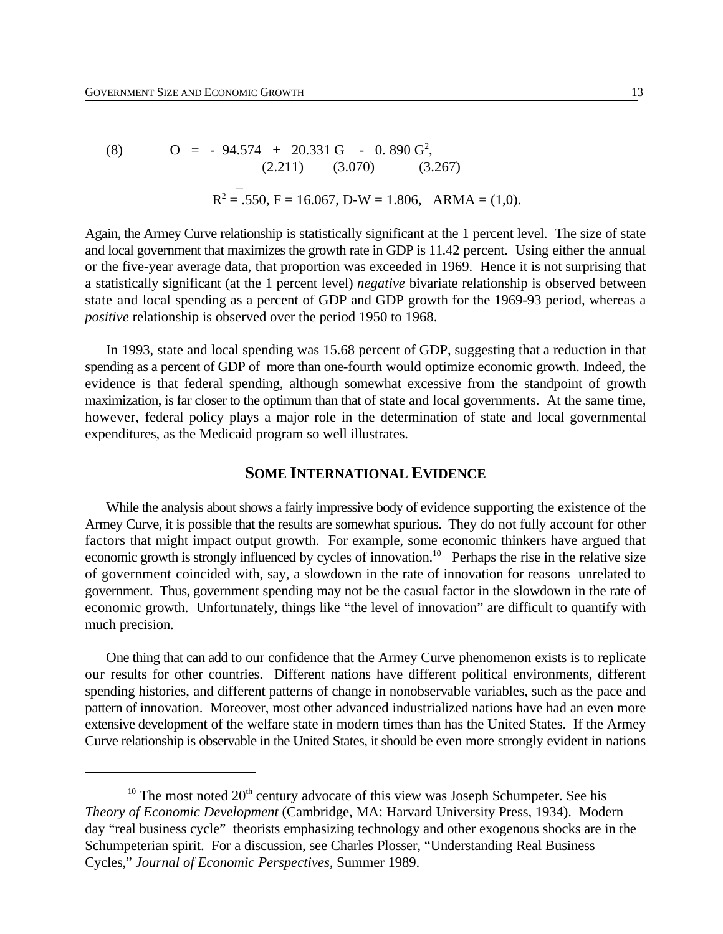(8) 
$$
O = -94.574 + 20.331 G - 0.890 G2, (2.211) (3.070) (3.267) R2 = .550, F = 16.067, D-W = 1.806, ARMA = (1,0).
$$

Again, the Armey Curve relationship is statistically significant at the 1 percent level. The size of state and local government that maximizes the growth rate in GDP is 11.42 percent. Using either the annual or the five-year average data, that proportion was exceeded in 1969. Hence it is not surprising that a statistically significant (at the 1 percent level) *negative* bivariate relationship is observed between state and local spending as a percent of GDP and GDP growth for the 1969-93 period, whereas a *positive* relationship is observed over the period 1950 to 1968.

In 1993, state and local spending was 15.68 percent of GDP, suggesting that a reduction in that spending as a percent of GDP of more than one-fourth would optimize economic growth. Indeed, the evidence is that federal spending, although somewhat excessive from the standpoint of growth maximization, is far closer to the optimum than that of state and local governments. At the same time, however, federal policy plays a major role in the determination of state and local governmental expenditures, as the Medicaid program so well illustrates.

#### **SOME INTERNATIONAL EVIDENCE**

While the analysis about shows a fairly impressive body of evidence supporting the existence of the Armey Curve, it is possible that the results are somewhat spurious. They do not fully account for other factors that might impact output growth. For example, some economic thinkers have argued that economic growth is strongly influenced by cycles of innovation.<sup>10</sup> Perhaps the rise in the relative size of government coincided with, say, a slowdown in the rate of innovation for reasons unrelated to government. Thus, government spending may not be the casual factor in the slowdown in the rate of economic growth. Unfortunately, things like "the level of innovation" are difficult to quantify with much precision.

One thing that can add to our confidence that the Armey Curve phenomenon exists is to replicate our results for other countries. Different nations have different political environments, different spending histories, and different patterns of change in nonobservable variables, such as the pace and pattern of innovation. Moreover, most other advanced industrialized nations have had an even more extensive development of the welfare state in modern times than has the United States. If the Armey Curve relationship is observable in the United States, it should be even more strongly evident in nations

<sup>&</sup>lt;sup>10</sup> The most noted  $20<sup>th</sup>$  century advocate of this view was Joseph Schumpeter. See his *Theory of Economic Development* (Cambridge, MA: Harvard University Press, 1934). Modern day "real business cycle" theorists emphasizing technology and other exogenous shocks are in the Schumpeterian spirit. For a discussion, see Charles Plosser, "Understanding Real Business Cycles," *Journal of Economic Perspectives,* Summer 1989.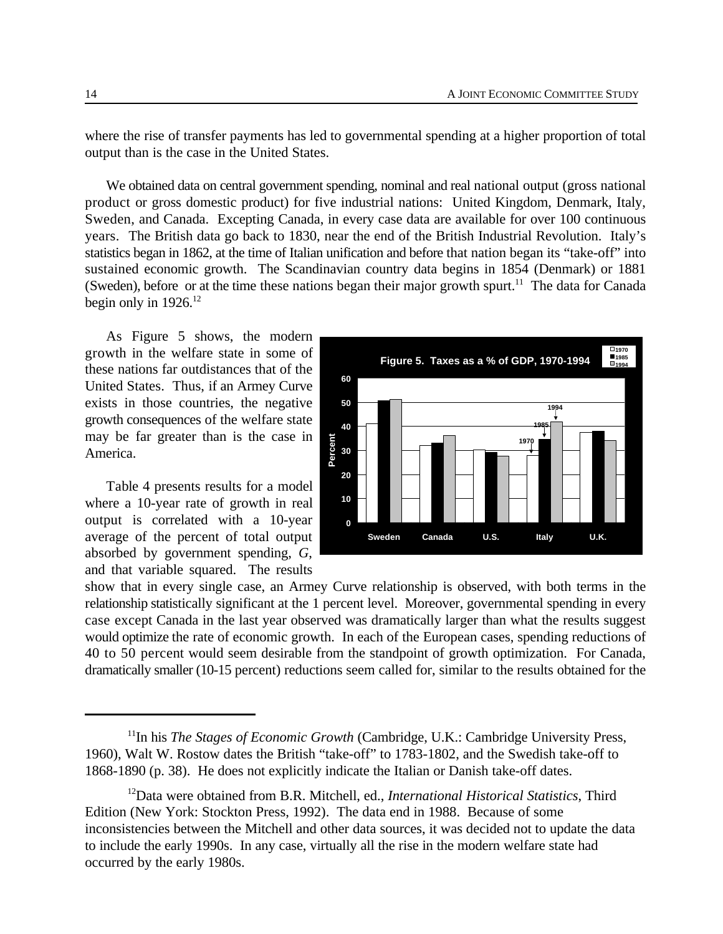where the rise of transfer payments has led to governmental spending at a higher proportion of total output than is the case in the United States.

We obtained data on central government spending, nominal and real national output (gross national product or gross domestic product) for five industrial nations: United Kingdom, Denmark, Italy, Sweden, and Canada. Excepting Canada, in every case data are available for over 100 continuous years. The British data go back to 1830, near the end of the British Industrial Revolution. Italy's statistics began in 1862, at the time of Italian unification and before that nation began its "take-off" into sustained economic growth. The Scandinavian country data begins in 1854 (Denmark) or 1881 (Sweden), before or at the time these nations began their major growth spurt.<sup>11</sup> The data for Canada begin only in  $1926$ .<sup>12</sup>

As Figure 5 shows, the modern growth in the welfare state in some of these nations far outdistances that of the United States. Thus, if an Armey Curve exists in those countries, the negative growth consequences of the welfare state may be far greater than is the case in America.

Table 4 presents results for a model where a 10-year rate of growth in real output is correlated with a 10-year average of the percent of total output absorbed by government spending, *G*, and that variable squared. The results



show that in every single case, an Armey Curve relationship is observed, with both terms in the relationship statistically significant at the 1 percent level. Moreover, governmental spending in every case except Canada in the last year observed was dramatically larger than what the results suggest would optimize the rate of economic growth. In each of the European cases, spending reductions of 40 to 50 percent would seem desirable from the standpoint of growth optimization. For Canada, dramatically smaller (10-15 percent) reductions seem called for, similar to the results obtained for the

<sup>&</sup>lt;sup>11</sup>In his *The Stages of Economic Growth* (Cambridge, U.K.: Cambridge University Press, 1960), Walt W. Rostow dates the British "take-off" to 1783-1802, and the Swedish take-off to 1868-1890 (p. 38). He does not explicitly indicate the Italian or Danish take-off dates.

<sup>&</sup>lt;sup>12</sup>Data were obtained from B.R. Mitchell, ed., *International Historical Statistics*, Third Edition (New York: Stockton Press, 1992). The data end in 1988. Because of some inconsistencies between the Mitchell and other data sources, it was decided not to update the data to include the early 1990s. In any case, virtually all the rise in the modern welfare state had occurred by the early 1980s.